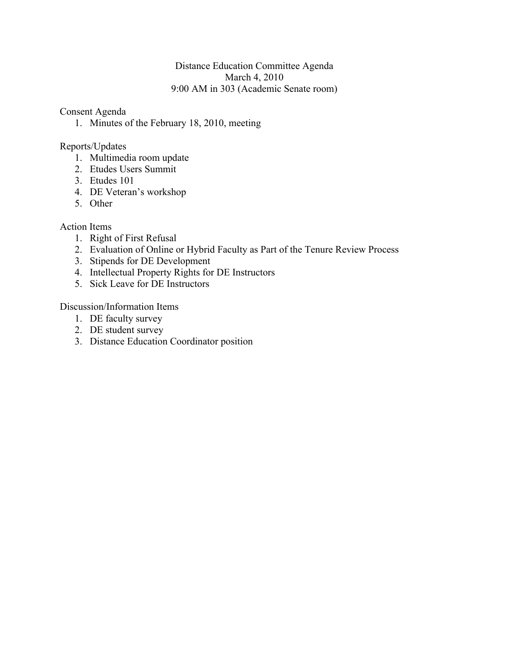#### Distance Education Committee Agenda March 4, 2010 9:00 AM in 303 (Academic Senate room)

#### Consent Agenda

1. Minutes of the February 18, 2010, meeting

#### Reports/Updates

- 1. Multimedia room update
- 2. Etudes Users Summit
- 3. Etudes 101
- 4. DE Veteran's workshop
- 5. Other

#### Action Items

- 1. Right of First Refusal
- 2. Evaluation of Online or Hybrid Faculty as Part of the Tenure Review Process
- 3. Stipends for DE Development
- 4. Intellectual Property Rights for DE Instructors
- 5. Sick Leave for DE Instructors

Discussion/Information Items

- 1. DE faculty survey
- 2. DE student survey
- 3. Distance Education Coordinator position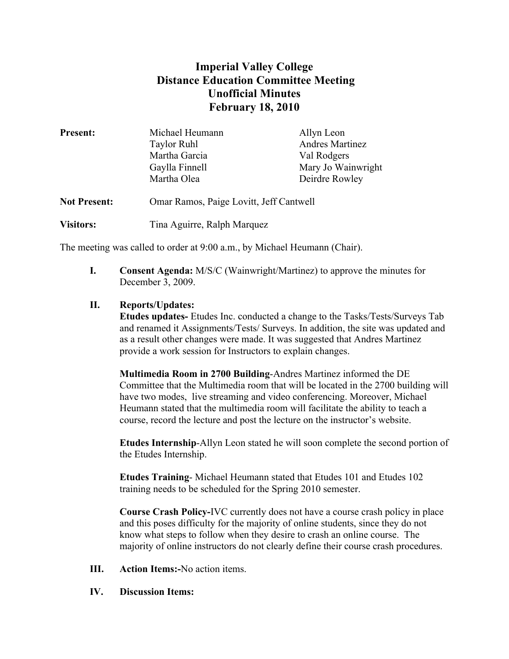# **Imperial Valley College Distance Education Committee Meeting Unofficial Minutes February 18, 2010**

| <b>Present:</b>     | Michael Heumann                         | Allyn Leon             |
|---------------------|-----------------------------------------|------------------------|
|                     | <b>Taylor Ruhl</b>                      | <b>Andres Martinez</b> |
|                     | Martha Garcia                           | Val Rodgers            |
|                     | Gaylla Finnell                          | Mary Jo Wainwright     |
|                     | Martha Olea                             | Deirdre Rowley         |
| <b>Not Present:</b> | Omar Ramos, Paige Lovitt, Jeff Cantwell |                        |
| <b>Visitors:</b>    | Tina Aguirre, Ralph Marquez             |                        |

The meeting was called to order at 9:00 a.m., by Michael Heumann (Chair).

**I. Consent Agenda:** M/S/C (Wainwright/Martinez) to approve the minutes for December 3, 2009.

#### **II. Reports/Updates:**

**Etudes updates-** Etudes Inc. conducted a change to the Tasks/Tests/Surveys Tab and renamed it Assignments/Tests/ Surveys. In addition, the site was updated and as a result other changes were made. It was suggested that Andres Martinez provide a work session for Instructors to explain changes.

**Multimedia Room in 2700 Building**-Andres Martinez informed the DE Committee that the Multimedia room that will be located in the 2700 building will have two modes, live streaming and video conferencing. Moreover, Michael Heumann stated that the multimedia room will facilitate the ability to teach a course, record the lecture and post the lecture on the instructor's website.

**Etudes Internship**-Allyn Leon stated he will soon complete the second portion of the Etudes Internship.

**Etudes Training**- Michael Heumann stated that Etudes 101 and Etudes 102 training needs to be scheduled for the Spring 2010 semester.

**Course Crash Policy-**IVC currently does not have a course crash policy in place and this poses difficulty for the majority of online students, since they do not know what steps to follow when they desire to crash an online course. The majority of online instructors do not clearly define their course crash procedures.

- **III. Action Items:-**No action items.
- **IV. Discussion Items:**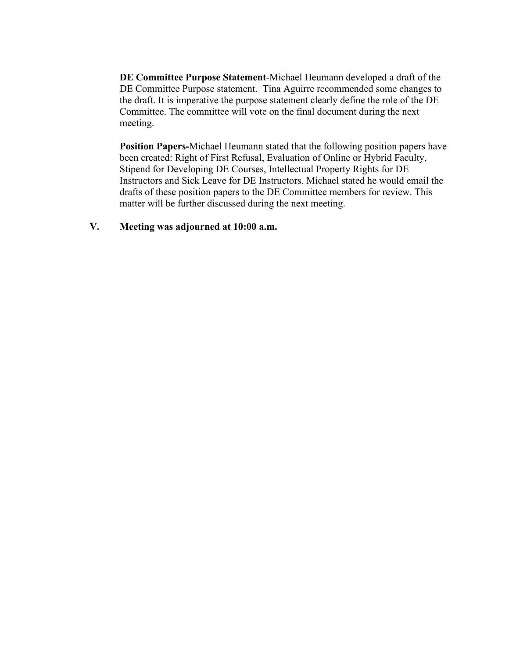**DE Committee Purpose Statement**-Michael Heumann developed a draft of the DE Committee Purpose statement. Tina Aguirre recommended some changes to the draft. It is imperative the purpose statement clearly define the role of the DE Committee. The committee will vote on the final document during the next meeting.

**Position Papers-**Michael Heumann stated that the following position papers have been created: Right of First Refusal, Evaluation of Online or Hybrid Faculty, Stipend for Developing DE Courses, Intellectual Property Rights for DE Instructors and Sick Leave for DE Instructors. Michael stated he would email the drafts of these position papers to the DE Committee members for review. This matter will be further discussed during the next meeting.

#### **V. Meeting was adjourned at 10:00 a.m.**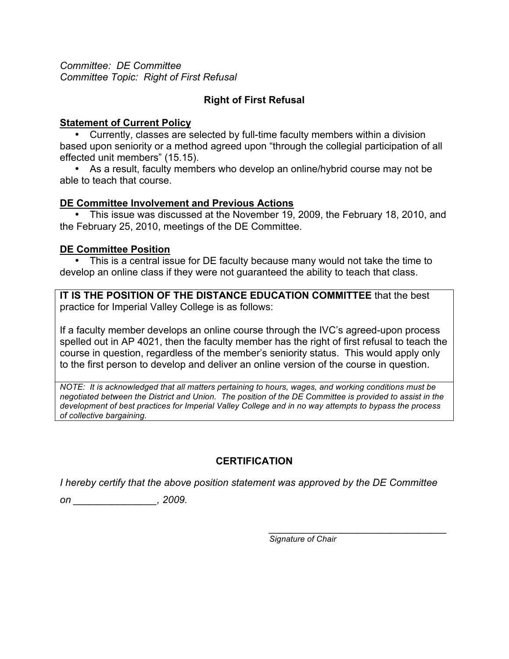*Committee: DE Committee Committee Topic: Right of First Refusal*

# **Right of First Refusal**

### **Statement of Current Policy**

• Currently, classes are selected by full-time faculty members within a division based upon seniority or a method agreed upon "through the collegial participation of all effected unit members" (15.15).

• As a result, faculty members who develop an online/hybrid course may not be able to teach that course.

#### **DE Committee Involvement and Previous Actions**

• This issue was discussed at the November 19, 2009, the February 18, 2010, and the February 25, 2010, meetings of the DE Committee.

### **DE Committee Position**

This is a central issue for DE faculty because many would not take the time to develop an online class if they were not guaranteed the ability to teach that class.

**IT IS THE POSITION OF THE DISTANCE EDUCATION COMMITTEE** that the best practice for Imperial Valley College is as follows:

If a faculty member develops an online course through the IVC's agreed-upon process spelled out in AP 4021, then the faculty member has the right of first refusal to teach the course in question, regardless of the member's seniority status. This would apply only to the first person to develop and deliver an online version of the course in question.

*NOTE: It is acknowledged that all matters pertaining to hours, wages, and working conditions must be negotiated between the District and Union. The position of the DE Committee is provided to assist in the development of best practices for Imperial Valley College and in no way attempts to bypass the process of collective bargaining.* 

# **CERTIFICATION**

*I hereby certify that the above position statement was approved by the DE Committee* 

*on \_\_\_\_\_\_\_\_\_\_\_\_\_\_\_, 2009.* 

*\_\_\_\_\_\_\_\_\_\_\_\_\_\_\_\_\_\_\_\_\_\_\_\_\_\_\_\_\_\_\_\_ Signature of Chair*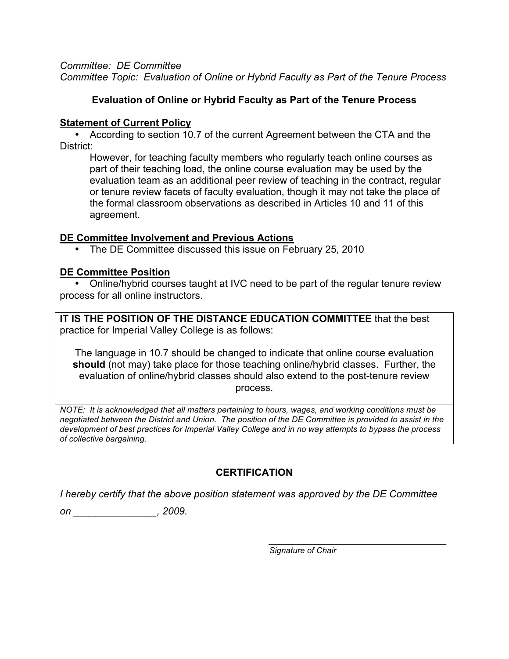*Committee: DE Committee Committee Topic: Evaluation of Online or Hybrid Faculty as Part of the Tenure Process*

# **Evaluation of Online or Hybrid Faculty as Part of the Tenure Process**

### **Statement of Current Policy**

• According to section 10.7 of the current Agreement between the CTA and the District:

However, for teaching faculty members who regularly teach online courses as part of their teaching load, the online course evaluation may be used by the evaluation team as an additional peer review of teaching in the contract, regular or tenure review facets of faculty evaluation, though it may not take the place of the formal classroom observations as described in Articles 10 and 11 of this agreement.

### **DE Committee Involvement and Previous Actions**

• The DE Committee discussed this issue on February 25, 2010

### **DE Committee Position**

• Online/hybrid courses taught at IVC need to be part of the regular tenure review process for all online instructors.

**IT IS THE POSITION OF THE DISTANCE EDUCATION COMMITTEE** that the best practice for Imperial Valley College is as follows:

The language in 10.7 should be changed to indicate that online course evaluation **should** (not may) take place for those teaching online/hybrid classes. Further, the evaluation of online/hybrid classes should also extend to the post-tenure review process.

*NOTE: It is acknowledged that all matters pertaining to hours, wages, and working conditions must be negotiated between the District and Union. The position of the DE Committee is provided to assist in the development of best practices for Imperial Valley College and in no way attempts to bypass the process of collective bargaining.* 

# **CERTIFICATION**

*I hereby certify that the above position statement was approved by the DE Committee* 

*on \_\_\_\_\_\_\_\_\_\_\_\_\_\_\_, 2009.* 

*Signature of Chair*

*\_\_\_\_\_\_\_\_\_\_\_\_\_\_\_\_\_\_\_\_\_\_\_\_\_\_\_\_\_\_\_\_*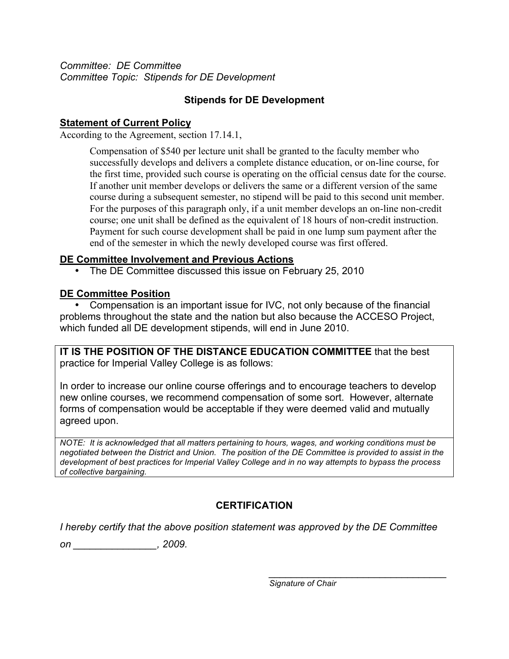*Committee: DE Committee Committee Topic: Stipends for DE Development*

# **Stipends for DE Development**

### **Statement of Current Policy**

According to the Agreement, section 17.14.1,

Compensation of \$540 per lecture unit shall be granted to the faculty member who successfully develops and delivers a complete distance education, or on-line course, for the first time, provided such course is operating on the official census date for the course. If another unit member develops or delivers the same or a different version of the same course during a subsequent semester, no stipend will be paid to this second unit member. For the purposes of this paragraph only, if a unit member develops an on-line non-credit course; one unit shall be defined as the equivalent of 18 hours of non-credit instruction. Payment for such course development shall be paid in one lump sum payment after the end of the semester in which the newly developed course was first offered.

### **DE Committee Involvement and Previous Actions**

• The DE Committee discussed this issue on February 25, 2010

# **DE Committee Position**

• Compensation is an important issue for IVC, not only because of the financial problems throughout the state and the nation but also because the ACCESO Project, which funded all DE development stipends, will end in June 2010.

**IT IS THE POSITION OF THE DISTANCE EDUCATION COMMITTEE** that the best practice for Imperial Valley College is as follows:

In order to increase our online course offerings and to encourage teachers to develop new online courses, we recommend compensation of some sort. However, alternate forms of compensation would be acceptable if they were deemed valid and mutually agreed upon.

*NOTE: It is acknowledged that all matters pertaining to hours, wages, and working conditions must be negotiated between the District and Union. The position of the DE Committee is provided to assist in the development of best practices for Imperial Valley College and in no way attempts to bypass the process of collective bargaining.* 

# **CERTIFICATION**

*I hereby certify that the above position statement was approved by the DE Committee* 

*on \_\_\_\_\_\_\_\_\_\_\_\_\_\_\_, 2009.* 

*\_\_\_\_\_\_\_\_\_\_\_\_\_\_\_\_\_\_\_\_\_\_\_\_\_\_\_\_\_\_\_\_ Signature of Chair*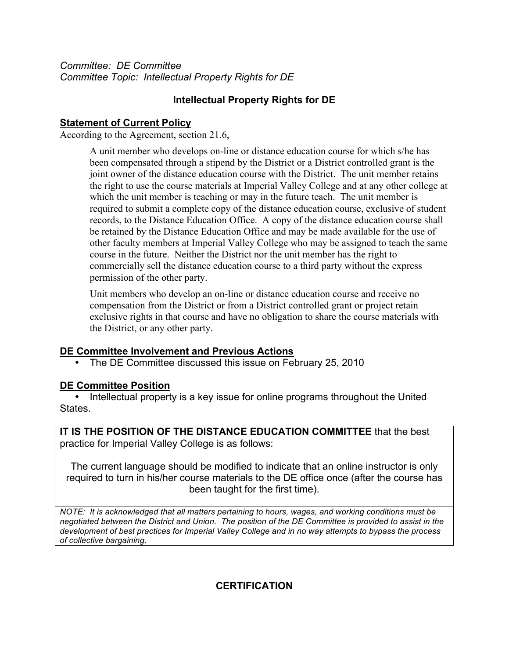*Committee: DE Committee Committee Topic: Intellectual Property Rights for DE*

# **Intellectual Property Rights for DE**

### **Statement of Current Policy**

According to the Agreement, section 21.6,

A unit member who develops on-line or distance education course for which s/he has been compensated through a stipend by the District or a District controlled grant is the joint owner of the distance education course with the District. The unit member retains the right to use the course materials at Imperial Valley College and at any other college at which the unit member is teaching or may in the future teach. The unit member is required to submit a complete copy of the distance education course, exclusive of student records, to the Distance Education Office. A copy of the distance education course shall be retained by the Distance Education Office and may be made available for the use of other faculty members at Imperial Valley College who may be assigned to teach the same course in the future. Neither the District nor the unit member has the right to commercially sell the distance education course to a third party without the express permission of the other party.

Unit members who develop an on-line or distance education course and receive no compensation from the District or from a District controlled grant or project retain exclusive rights in that course and have no obligation to share the course materials with the District, or any other party.

### **DE Committee Involvement and Previous Actions**

• The DE Committee discussed this issue on February 25, 2010

# **DE Committee Position**

• Intellectual property is a key issue for online programs throughout the United States.

**IT IS THE POSITION OF THE DISTANCE EDUCATION COMMITTEE** that the best practice for Imperial Valley College is as follows:

The current language should be modified to indicate that an online instructor is only required to turn in his/her course materials to the DE office once (after the course has been taught for the first time).

*NOTE: It is acknowledged that all matters pertaining to hours, wages, and working conditions must be negotiated between the District and Union. The position of the DE Committee is provided to assist in the development of best practices for Imperial Valley College and in no way attempts to bypass the process of collective bargaining.* 

**CERTIFICATION**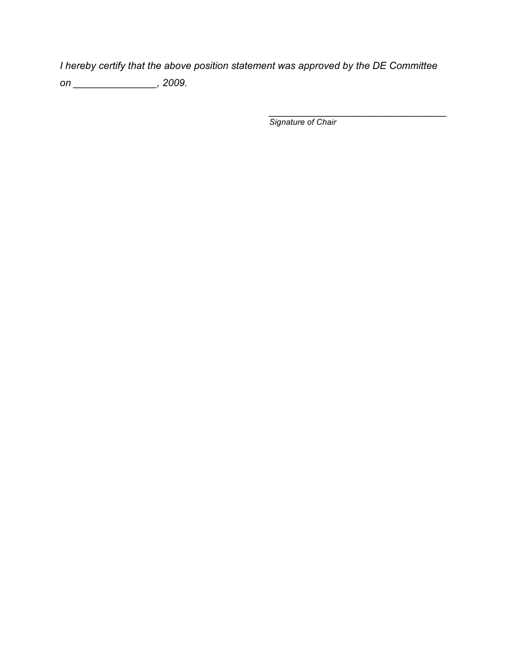*I hereby certify that the above position statement was approved by the DE Committee on \_\_\_\_\_\_\_\_\_\_\_\_\_\_\_, 2009.* 

*Signature of Chair*

*\_\_\_\_\_\_\_\_\_\_\_\_\_\_\_\_\_\_\_\_\_\_\_\_\_\_\_\_\_\_\_\_*